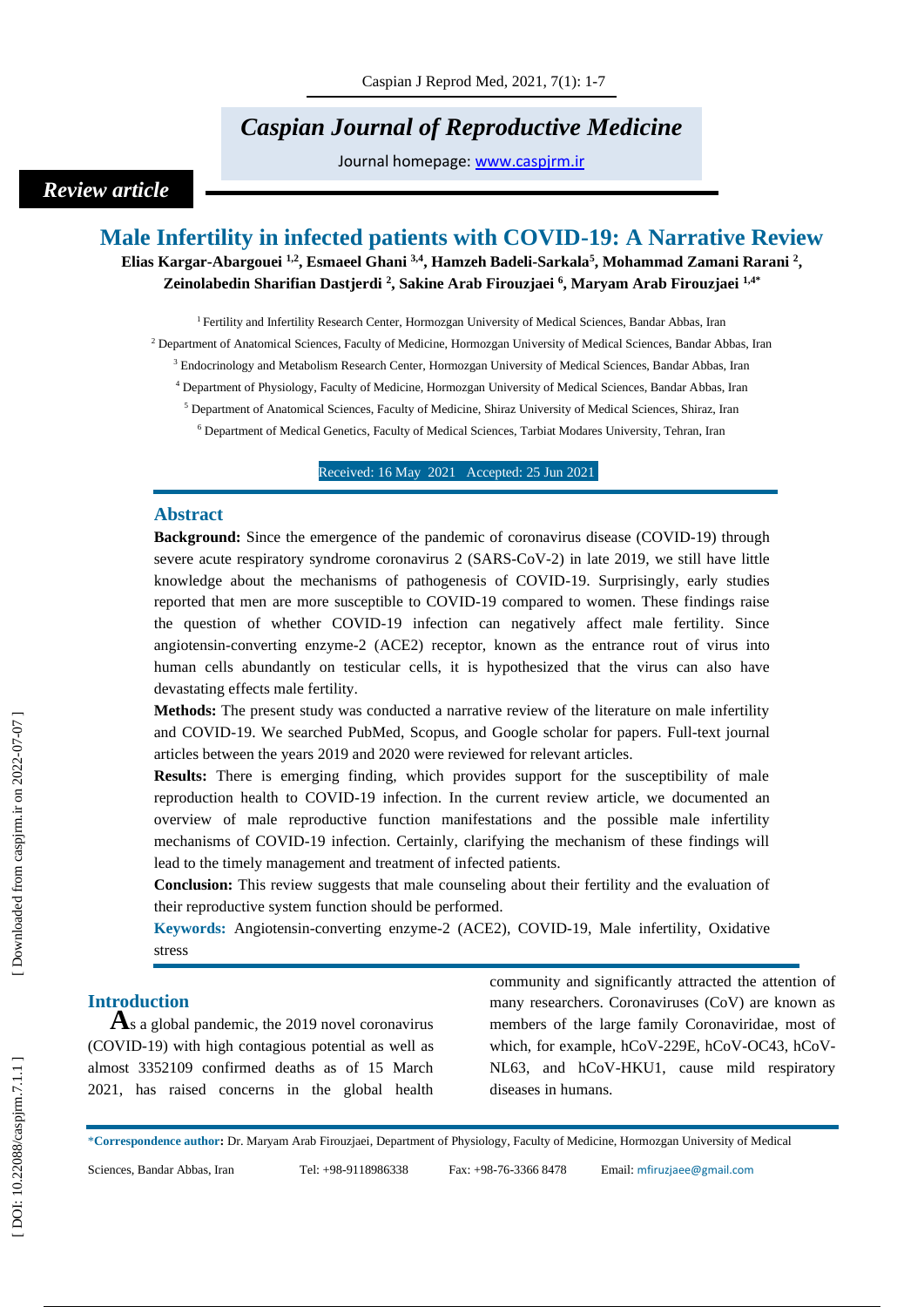# *Caspian Journal of Reproductive Medicine*

Journal homepage: [www.caspjrm.ir](http://www.caspjrm.ir/)

## *Review article*

## **Male Infertility in infected patients with COVID -19: A Narrative Review**

**Elias Kargar -Abargouei 1,2 , Esmaeel Ghani 3,4 , Hamzeh Badeli -Sarkala 5 , Mohammad Zamani Rarani 2 , Zeinolabedin Sharifian Dastjerdi 2 , Sakine Arab Firouzjaei 6 , Maryam Arab Firouzjaei 1,4 \***

<sup>1</sup> Fertility and Infertility Research Center, Hormozgan University of Medical Sciences, Bandar Abbas, Iran

<sup>2</sup> Department of Anatomical Sciences, Faculty of Medicine, Hormozgan University of Medical Sciences, Bandar Abbas, Iran

<sup>3</sup> Endocrinology and Metabolism Research Center, Hormozgan University of Medical Sciences, Bandar Abbas, Iran

<sup>4</sup> Department of Physiology, Faculty of Medicine, Hormozgan University of Medical Sciences, Bandar Abbas, Iran

<sup>5</sup> Department of Anatomical Sciences, Faculty of Medicine, Shiraz University of Medical Sciences, Shiraz, Iran

<sup>6</sup> Department of Medical Genetics, Faculty of Medical Sciences, Tarbiat Modares University, Tehran, Iran

Received: 16 May 202 1 Accepted: 25 Jun 202 1

#### **Abstract**

Background: Since the emergence of the pandemic of coronavirus disease (COVID-19) through severe acute respiratory syndrome coronavirus 2 (SARS-CoV-2) in late 2019, we still have little knowledge about the mechanisms of pathogenesis of COVID -19. Surprisingly, early studies reported that men are more susceptible to COVID -19 compared to women. These findings raise the question of whether COVID -19 infection can negatively affect male fertility. Since angiotensin -converting enzyme -2 (ACE2) receptor, known as the entrance rout of virus into human cells abundantly on testicular cells, it is hypothesized that the virus can also have devastating effects male fertility.

**Methods:** The present study was conducted a narrative review of the literature on male infertility and COVID-19. We searched PubMed, Scopus, and Google scholar for papers. Full-text journal articles between the years 2019 and 20 20 were reviewed for relevant articles.

**Results:** There is emerging finding, which provides support for the susceptibility of male reproduction health to COVID -19 infection. In the current review article, we documented an overview of male reproductive function manifestations and the possible male infertility mechanisms of COVID -19 infection. Certainly, clarifying the mechanism of these findings will lead to the timely management and treatment of infected patients.

**Conclusion:** This review suggests that male counseling about their fertility and the evaluation of their reproductive system function should be performed.

**Keywords:** Angiotensin -converting enzyme - 2 (ACE2) , COVID -19, Male infertility, Oxidative stress

**Introduction**<br>**A**s a global pandemic, the 2019 novel coronavirus (COVID -19) with high contagious potential as well as almost 3352109 confirmed deaths as of 15 March 2021, has raised concerns in the global health

community and significantly attracted the attention of many researchers. Coronaviruses (CoV) are known as members of the large family Coronaviridae, most of which, for example, hCoV-229E, hCoV-OC43, hCoV-NL63, and hCoV -HKU1, cause mild respiratory diseases in humans.

\***Correspondence author :** Dr. Maryam Arab Firouzjaei , Department of Physiology, Faculty of Medicine, Hormozgan University of Medical

Sciences, Bandar Abbas, Iran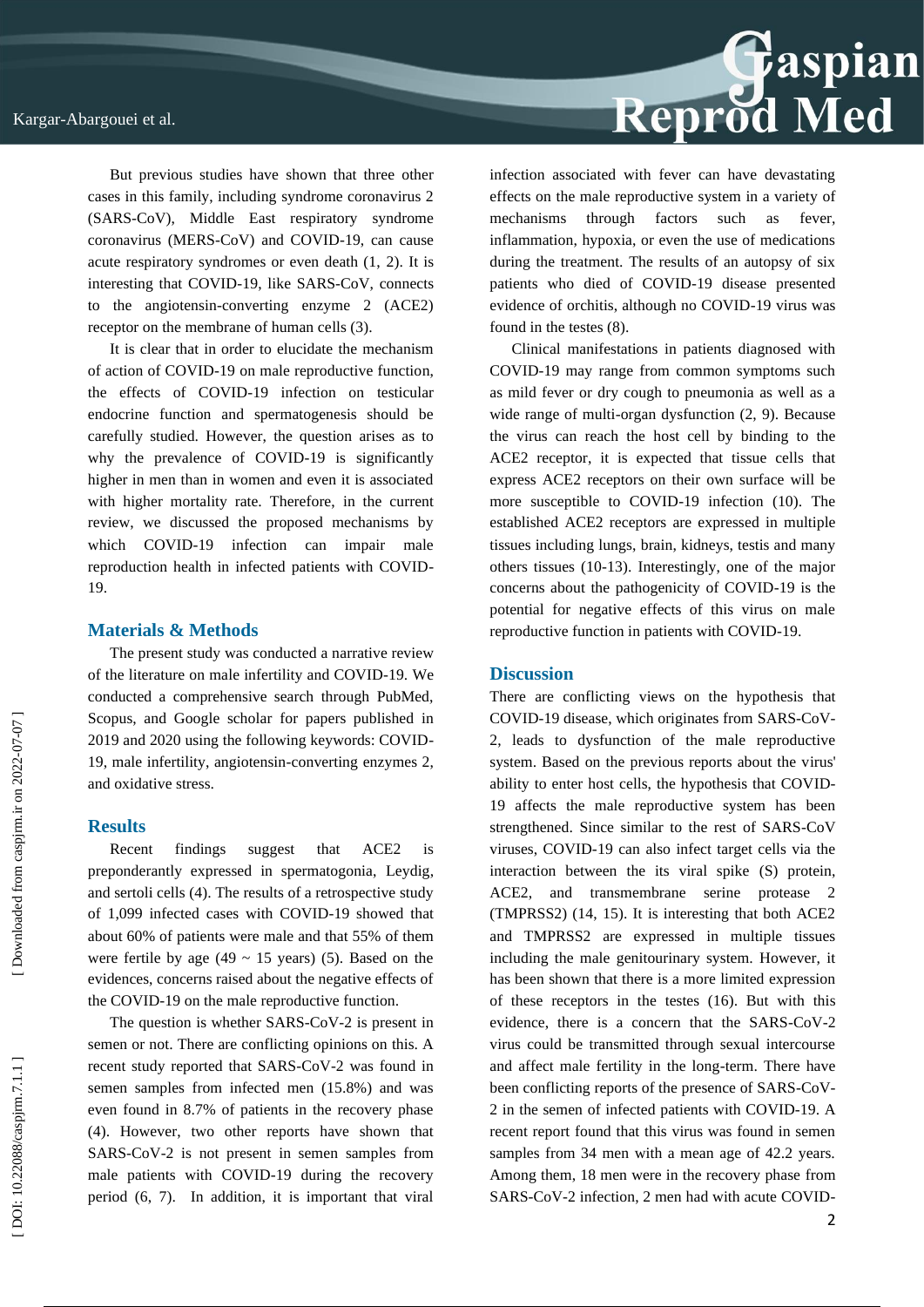But previous studies have shown that three other cases in this family, including syndrome coronavirus 2 (SARS -CoV), Middle East respiratory syndrome coronavirus (MERS -CoV) and COVID -19, can cause acute respiratory syndromes or even death (1, 2). It is interesting that COVID-19, like SARS-CoV, connects to the angiotensin -converting enzyme 2 (ACE2) receptor on the membrane of human cells (3).

It is clear that in order to elucidate the mechanism of action of COVID -19 on male reproductive function, the effects of COVID -19 infection on testicular endocrine function and spermatogenesis should be carefully studied. However, the question arises as to why the prevalence of COVID-19 is significantly higher in men than in women and even it is associated with higher mortality rate. Therefore, in the current review, we discussed the proposed mechanisms by which COVID -19 infection can impair male reproduction health in infected patients with COVID - 19.

#### **Materials & Methods**

The present study was conducted a narrative review of the literature on male infertility and COVID -19. We conducted a comprehensive search through PubMed, Scopus, and Google scholar for papers published in 2019 and 2020 using the following keywords: COVID - 19, male infertility, angiotensin - converting enzymes 2, and oxidative stress.

#### **Results**

Recent findings suggest that ACE2 is preponderantly expressed in spermatogonia, Leydig, and sertoli cells (4). The results of a retrospective study of 1,099 infected cases with COVID -19 showed that about 60% of patients were male and that 55% of them were fertile by age (49  $\sim$  15 years) (5). Based on the evidences, concerns raised about the negative effects of the COVID -19 on the male reproductive function.

The question is whether SARS-CoV-2 is present in semen or not. There are conflicting opinions on this. A recent study reported that SARS -CoV -2 was found in semen samples from infected men (15.8%) and was even found in 8.7% of patients in the recovery phase (4). However, two other reports have shown that SARS -CoV -2 is not present in semen samples from male patients with COVID -19 during the recovery period (6, 7). In addition, it is important that viral



infection associated with fever can have devastating effects on the male reproductive system in a variety of mechanisms through factors such as fever, inflammation, hypoxia, or even the use of medications during the treatment. The results of an autopsy of six patients who died of COVID -19 disease presented evidence of orchitis, although no COVID -19 virus was found in the testes (8).

Clinical manifestations in patients diagnosed with COVID -19 may range from common symptoms such as mild fever or dry cough to pneumonia as well as a wide range of multi -organ dysfunction (2, 9). Because the virus can reach the host cell by binding to the ACE2 receptor, it is expected that tissue cells that express ACE2 receptors on their own surface will be more susceptible to COVID -19 infection (10). The established ACE2 receptors are expressed in multiple tissues including lungs, brain, kidneys, testis and many others tissues (10 -13). Interestingly, one of the major concerns about the pathogenicity of COVID -19 is the potential for negative effects of this virus on male reproductive function in patients with COVID -19.

#### **Discussion**

There are conflicting views on the hypothesis that COVID -19 disease, which originates from SARS -CoV - 2, leads to dysfunction of the male reproductive system. Based on the previous reports about the virus' ability to enter host cells, the hypothesis that COVID - 19 affects the male reproductive system has been strengthened. Since similar to the rest of SARS -CoV viruses, COVID -19 can also infect target cells via the interaction between the its viral spike (S) protein, ACE2 and transmembrane serine protease (TMPRSS2) (14, 15). It is interesting that both ACE2 and TMPRSS2 are expressed in multiple tissues including the male genitourinary system. However, it has been shown that there is a more limited expression of these receptors in the testes (16). But with this evidence, there is a concern that the SARS-CoV-2 virus could be transmitted through sexual intercourse and affect male fertility in the long -term. There have been conflicting reports of the presence of SARS-CoV-2 in the semen of infected patients with COVID -19. A recent report found that this virus was found in semen samples from 34 men with a mean age of 42.2 years. Among them, 18 men were in the recovery phase from SARS-CoV-2 infection, 2 men had with acute COVID-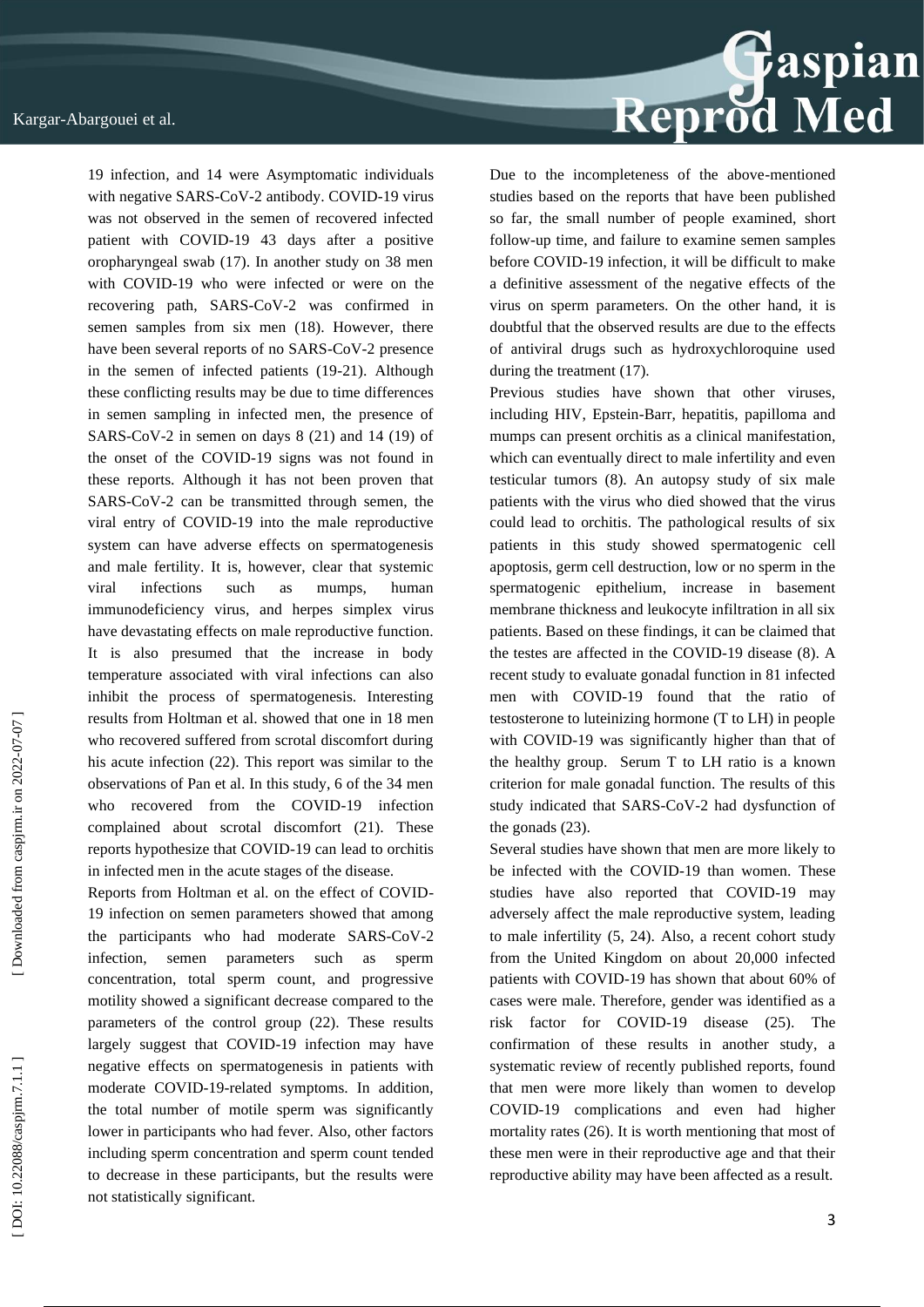

Reports from Holtman et al. on the effect of COVID - 19 infection on semen parameters showed that among the participants who had moderate SARS -CoV -2 infection, semen parameters such as sperm concentration, total sperm count, and progressive motility showed a significant decrease compared to the parameters of the control group (22). These results largely suggest that COVID -19 infection may have negative effects on spermatogenesis in patients with moderate COVID -19 -related symptoms. In addition, the total number of motile sperm was significantly lower in participants who had fever. Also, other factors including sperm concentration and sperm count tended to decrease in these participants, but the results were not statistically significant.



Due to the incompleteness of the above -mentioned studies based on the reports that have been published so far, the small number of people examined, short follow -up time, and failure to examine semen samples before COVID -19 infection, it will be difficult to make a definitive assessment of the negative effects of the virus on sperm parameters. On the other hand, it is doubtful that the observed results are due to the effects of antiviral drugs such as hydroxychloroquine used during the treatment (17).

Previous studies have shown that other viruses, including HIV, Epstein -Barr, hepatitis, papilloma and mumps can present orchitis as a clinical manifestation, which can eventually direct to male infertility and even testicular tumors (8). An autopsy study of six male patients with the virus who died showed that the virus could lead to orchitis. The pathological results of six patients in this study showed spermatogenic cell apoptosis, germ cell destruction, low or no sperm in the spermatogenic epithelium, increase in basement membrane thickness and leukocyte infiltration in all six patients. Based on these findings, it can be claimed that the testes are affected in the COVID -19 disease (8). A recent study to evaluate gonadal function in 81 infected men with COVID -19 found that the ratio of testosterone to luteinizing hormone (T to LH) in people with COVID -19 was significantly higher than that of the healthy group. Serum T to LH ratio is a known criterion for male gonadal function. The results of this study indicated that SARS -CoV -2 had dysfunction of the gonads (23).

Several studies have shown that men are more likely to be infected with the COVID -19 than women. These studies have also reported that COVID -19 may adversely affect the male reproductive system, leading to male infertility (5, 24). Also, a recent cohort study from the United Kingdom on about 20,000 infected patients with COVID -19 has shown that about 60% of cases were male. Therefore, gender was identified as a risk factor for COVID -19 disease (25). The confirmation of these results in another study, a systematic review of recently published reports, found that men were more likely than women to develop COVID -19 complications and even had higher mortality rates (26). It is worth mentioning that most of these men were in their reproductive age and that their reproductive ability may have been affected as a result.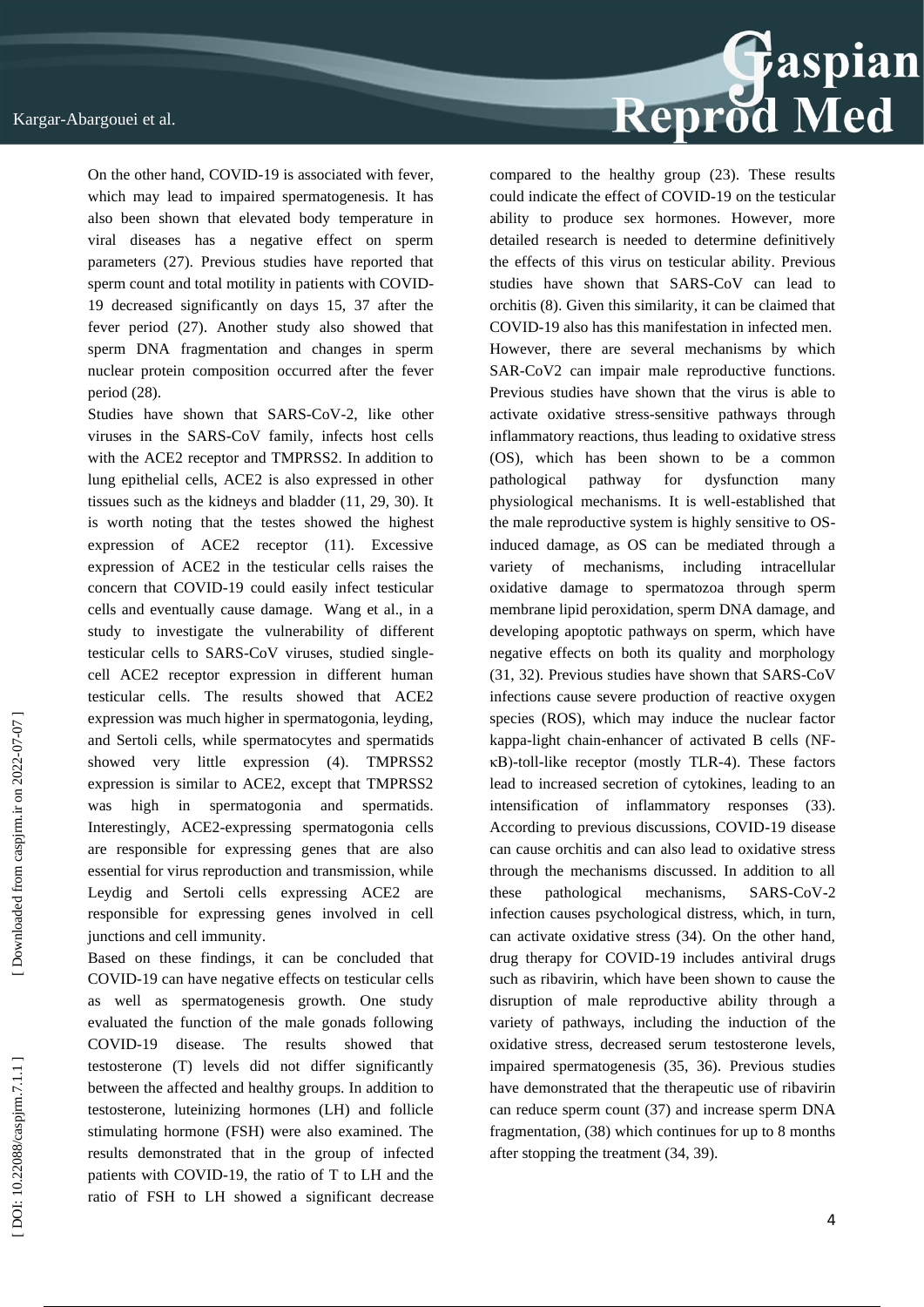On the other hand, COVID -19 is associated with fever, which may lead to impaired spermatogenesis. It has also been shown that elevated body temperature in viral diseases has a negative effect on sperm parameters (27). Previous studies have reported that sperm count and total motility in patients with COVID - 19 decreased significantly on days 15, 37 after the fever period (27). Another study also showed that sperm DNA fragmentation and changes in sperm nuclear protein composition occurred after the fever period (28).

Studies have shown that SARS-CoV-2, like other viruses in the SARS -CoV family, infects host cells with the ACE2 receptor and TMPRSS2. In addition to lung epithelial cells, ACE2 is also expressed in other tissues such as the kidneys and bladder (11, 29, 30). It is worth noting that the testes showed the highest expression of ACE2 receptor (11). Excessive expression of ACE2 in the testicular cells raises the concern that COVID -19 could easily infect testicular cells and eventually cause damage. Wang et al., in a study to investigate the vulnerability of different testicular cells to SARS -CoV viruses, studied single cell ACE2 receptor expression in different human testicular cells. The results showed that ACE2 expression was much higher in spermatogonia, leyding, and Sertoli cells, while spermatocytes and spermatids showed very little expression (4). TMPRSS2 expression is similar to ACE2, except that TMPRSS2 was high in spermatogonia and spermatids. Interestingly, ACE2 - expressing spermatogonia cells are responsible for expressing genes that are also essential for virus reproduction and transmission, while Leydig and Sertoli cells expressing ACE2 are responsible for expressing genes involved in cell junctions and cell immunity.

Based on these findings, it can be concluded that COVID -19 can have negative effects on testicular cells as well as spermatogenesis growth. One study evaluated the function of the male gonads following COVID-19 disease. The results showed that testosterone (T) levels did not differ significantly between the affected and healthy groups. In addition to testosterone, luteinizing hormones (LH) and follicle stimulating hormone (FSH) were also examined. The results demonstrated that in the group of infected patients with COVID -19, the ratio of T to LH and the ratio of FSH to LH showed a significant decrease



compared to the healthy group (23). These results could indicate the effect of COVID -19 on the testicular ability to produce sex hormones. However, more detailed research is needed to determine definitively the effects of this virus on testicular ability. Previous studies have shown that SARS -CoV can lead to orchitis (8). Given this similarity, it can be claimed that COVID -19 also has this manifestation in infected men. However, there are several mechanisms by which SAR -CoV2 can impair male reproductive functions. Previous studies have shown that the virus is able to activate oxidative stress -sensitive pathways through inflammatory reactions, thus leading to oxidative stress (OS), which has been shown to be a common pathological pathway for dysfunction many physiological mechanisms. It is well -established that the male reproductive system is highly sensitive to OS induced damage, as OS can be mediated through a variety of mechanisms, including intracellular oxidative damage to spermatozoa through sperm membrane lipid peroxidation, sperm DNA damage, and developing apoptotic pathways on sperm, which have negative effects on both its quality and morphology (31, 32). Previous studies have shown that SARS -CoV infections cause severe production of reactive oxygen species (ROS), which may induce the nuclear factor kappa -light chain -enhancer of activated B cells (NF κB) -toll -like receptor (mostly TLR -4). These factors lead to increased secretion of cytokines, leading to an intensification of inflammatory responses (33). According to previous discussions, COVID -19 disease can cause orchitis and can also lead to oxidative stress through the mechanisms discussed. In addition to all these pathological mechanisms,  $-CoV-2$ infection causes psychological distress, which, in turn, can activate oxidative stress (34). On the other hand, drug therapy for COVID -19 includes antiviral drugs such as ribavirin, which have been shown to cause the disruption of male reproductive ability through a variety of pathways, including the induction of the oxidative stress, decreased serum testosterone levels, impaired spermatogenesis (35, 36). Previous studies have demonstrated that the therapeutic use of ribavirin can reduce sperm count (37) and increase sperm DNA fragmentation, (38) which continues for up to 8 months after stopping the treatment (34, 39).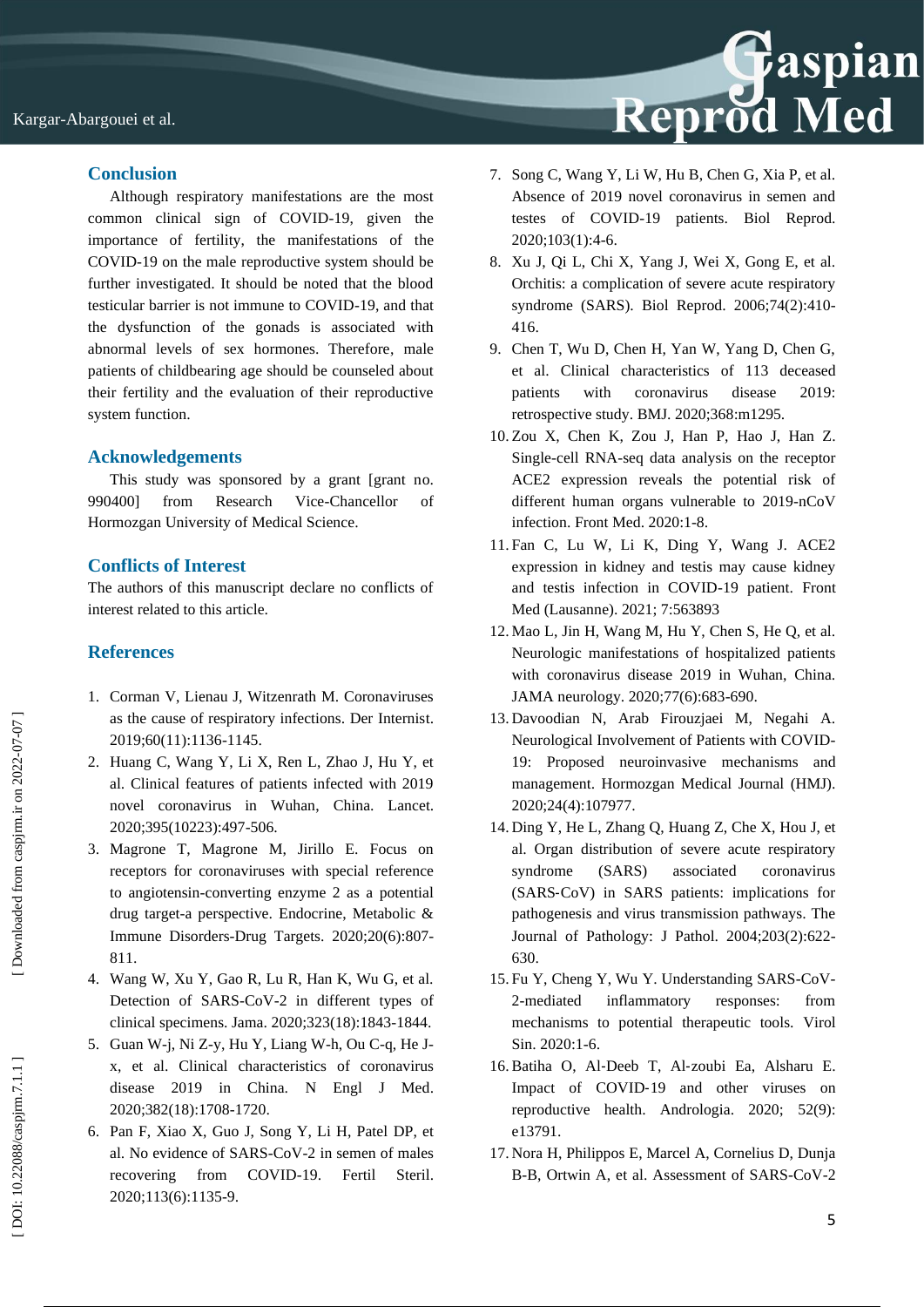

### **Conclusion**

Although respiratory manifestations are the most common clinical sign of COVID -19, given the importance of fertility, the manifestations of the COVID -19 on the male reproductive system should be further investigated. It should be noted that the blood testicular barrier is not immune to COVID -19, and that the dysfunction of the gonads is associated with abnormal levels of sex hormones. Therefore, male patients of childbearing age should be counseled about their fertility and the evaluation of their reproductive system function.

#### **Acknowledgements**

This study was sponsored by a grant [grant no. 990400] from Research Vice-Chancellor of Hormozgan University of Medical Science.

#### **Conflicts of Interest**

The authors of this manuscript declare no conflicts of interest related to this article.

#### **References**

- 1. Corman V, Lienau J, Witzenrath M. Coronaviruses as the cause of respiratory infections. Der Internist. 2019;60(11):1136 -1145.
- 2. Huang C, Wang Y, Li X, Ren L, Zhao J, Hu Y, et al. Clinical features of patients infected with 2019 novel coronavirus in Wuhan, China. Lancet. 2020;395(10223):497 -506.
- 3. Magrone T, Magrone M, Jirillo E. Focus on receptors for coronaviruses with special reference to angiotensin -converting enzyme 2 as a potential drug target -a perspective. Endocrine, Metabolic & Immune Disorders -Drug Targets. 2020;20(6):807 - 811.
- 4. Wang W, Xu Y, Gao R, Lu R, Han K, Wu G, et al. Detection of SARS -CoV -2 in different types of clinical specimens. Jama. 2020;323(18):1843 -1844.
- 5. Guan W -j, Ni Z -y, Hu Y, Liang W -h, Ou C -q, He J x, et al. Clinical characteristics of coronavirus disease 2019 in China. N Engl J Med. 2020;382(18):1708 -1720.
- 6. Pan F, Xiao X, Guo J, Song Y, Li H, Patel DP, et al. No evidence of SARS -CoV -2 in semen of males recovering from COVID-19. Fertil Steril. 2020;113(6):1135 -9.
- 7. Song C, Wang Y, Li W, Hu B, Chen G, Xia P, et al. Absence of 2019 novel coronavirus in semen and testes of COVID -19 patients. Biol Repro d. 2020;103(1):4 -6.
- 8. Xu J, Qi L, Chi X, Yang J, Wei X, Gong E, et al. Orchitis: a complication of severe acute respiratory syndrome (SARS). Biol Reprod. 2006;74(2):410 - 416.
- 9. Chen T, Wu D, Chen H, Yan W, Yang D, Chen G, et al. Clinical characteristics of 113 deceased patients with coronavirus disease 2019: retrospective study. BMJ. 2020;368:m1295.
- 10. Zou X, Chen K, Zou J, Han P, Hao J, Han Z. Single -cell RNA -seq data analysis on the receptor ACE2 expression reveals the potential risk of different human organs vulnerable to 2019-nCoV infection. Front Med. 2020:1 -8.
- 11. Fan C, Lu W, Li K, Ding Y, Wang J. ACE2 expression in kidney and testis may cause kidney and testis infection in COVID -19 patient. Front Med (Lausanne). 2021; 7:563893
- 12. Mao L, Jin H, Wang M, Hu Y, Chen S, He Q, et al. Neurologic manifestations of hospitalized patients with coronavirus disease 2019 in Wuhan, China. JAMA neurology. 2020;77(6):683 - 690.
- 13. Davoodian N, Arab Firouzjaei M, Negahi A. Neurological Involvement of Patients with COVID - 19: Proposed neuroinvasive mechanisms and management. Hormozgan Medical Journal (HMJ). 2020;24(4):107977 .
- 14. Ding Y, He L, Zhang Q, Huang Z, Che X, Hou J, et al. Organ distribution of severe acute respiratory syndrome (SARS) associated coronavirus (SARS ‐CoV) in SARS patients: implications for pathogenesis and virus transmission pathways. The Journal of Pathology: J Pathol. 2004;203(2):622 - 630.
- 15. Fu Y, Cheng Y, Wu Y. Understanding SARS -CoV 2-mediated inflammatory responses: from mechanisms to potential therapeutic tools. Virol Sin. 2020:1 -6.
- 16.Batiha O, Al ‐Deeb T, Al ‐zoubi Ea, Alsharu E. Impact of COVID-19 and other viruses on reproductive health. Andrologia. 2020; 52(9): e13791.
- 17. Nora H, Philippos E, Marcel A, Cornelius D, Dunja B-B, Ortwin A, et al. Assessment of SARS-CoV-2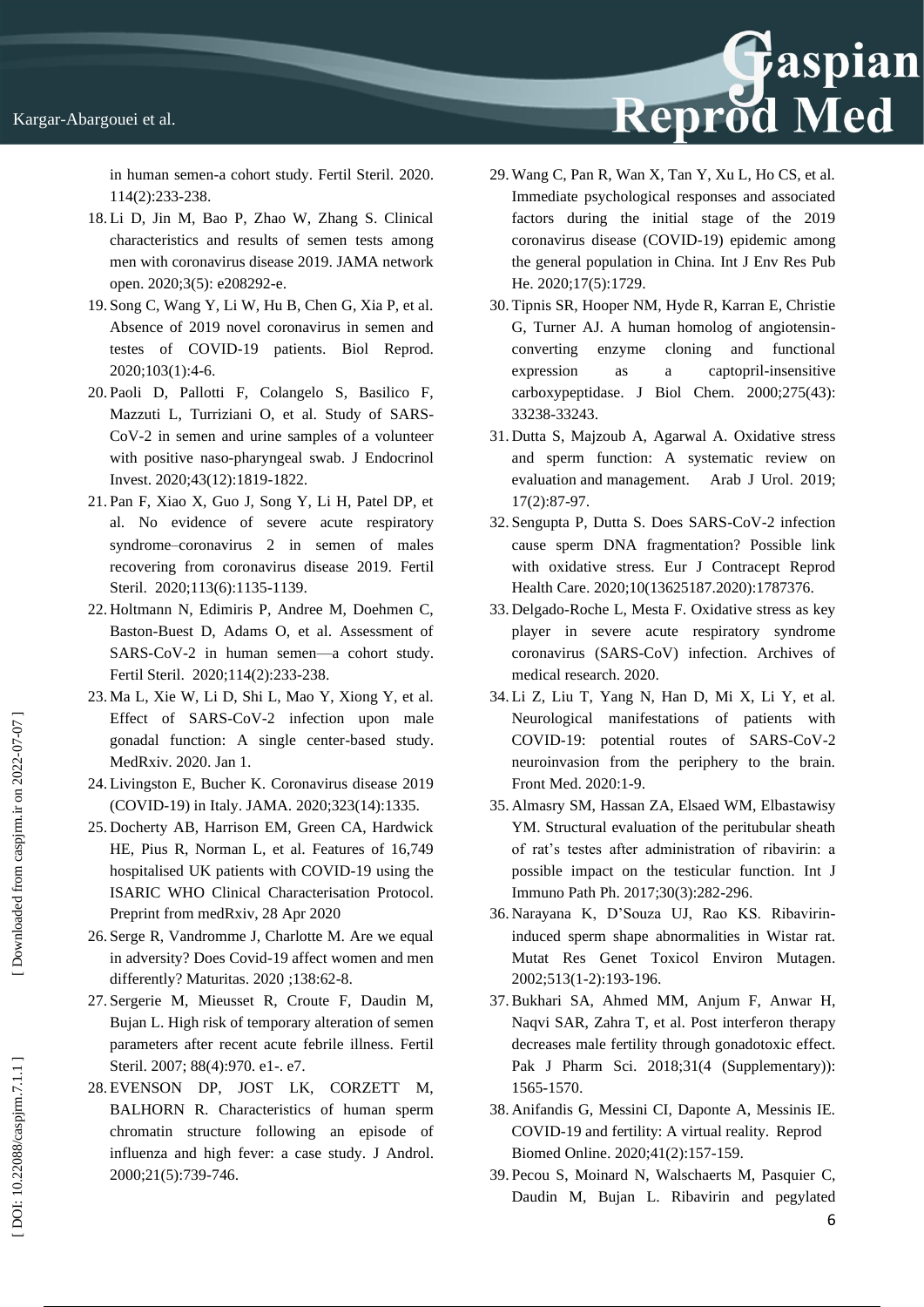in human semen -a cohort study. Fertil Steril. 2020. 114(2):233 -238 .

- 18. Li D, Jin M, Bao P, Zhao W, Zhang S. Clinical characteristics and results of semen tests among men with coronavirus disease 2019. JAMA network open. 2020;3(5): e208292 -e.
- 19. Song C, Wang Y, Li W, Hu B, Chen G, Xia P, et al. Absence of 2019 novel coronavirus in semen and testes of COVID -19 patients. Biol Reprod. 2020;103(1):4 -6.
- 20. Paoli D, Pallotti F, Colangelo S, Basilico F, Mazzuti L, Turriziani O, et al. Study of SARS - CoV -2 in semen and urine samples of a volunteer with positive naso -pharyngeal swab. J Endocrinol Invest. 2020;43(12):1819 -1822.
- 21. Pan F, Xiao X, Guo J, Song Y, Li H, Patel DP, et al. No evidence of severe acute respiratory syndrome –coronavirus 2 in semen of males recovering from coronavirus disease 2019. Fertil Steril. 2020;113(6):1135 -1139.
- 22. Holtmann N, Edimiris P, Andree M, Doehmen C, Baston -Buest D, Adams O, et al. Assessment of SARS -CoV -2 in human semen —a cohort study. Fertil Steril. 2020;114(2):233 -238.
- 23. Ma L, Xie W, Li D, Shi L, Mao Y, Xiong Y, et al. Effect of SARS-CoV-2 infection upon male gonadal function: A single center -based study. MedRxiv. 2020 . Jan 1.
- 24. Livingston E, Bucher K. Coronavirus disease 2019 (COVID -19) in Italy. JAMA. 2020;323(14):1335 .
- 25. Docherty AB, Harrison EM, Green CA, Hardwick HE, Pius R, Norman L, et al. Features of 16,749 hospitalised UK patients with COVID -19 using the ISARIC WHO Clinical Characterisation Protocol. Preprint from medRxiv, 28 Apr 2020
- 26. Serge R, Vandromme J, Charlotte M. Are we equal in adversity? Does Covid -19 affect women and men differently? Maturitas. 2020 ;138:62 -8.
- 27. Sergerie M, Mieusset R, Croute F, Daudin M, Bujan L. High risk of temporary alteration of semen parameters after recent acute febrile illness. Fertil Steril. 2007; 88(4):970. e1-. e7.
- 28. EVENSON DP, JOST LK, CORZETT M, BALHORN R. Characteristics of human sperm chromatin structure following an episode of influenza and high fever: a case study. J Androl. 2000;21(5):739 - 746 .

29. Wang C, Pan R, Wan X, Tan Y, Xu L, Ho CS, et al. Immediate psychological responses and associated factors during the initial stage of the 2019 coronavirus disease (COVID - 19) epidemic among the general population in China. Int J Env Res Pub He. 2020;17(5):1729.

Reprod Med

- 30. Tipnis SR, Hooper NM, Hyde R, Karran E, Christie G, Turner AJ. A human homolog of angiotensin converting enzyme cloning and functional expression as a captopril-insensitive carboxypeptidase. J Biol Chem. 2000;275(43): 33238 -33243.
- 31. Dutta S, Majzoub A, Agarwal A. Oxidative stress and sperm function: A systematic review on evaluation and management. Arab J Urol. 2019; 17(2):87 -97.
- 32. Sengupta P, Dutta S. Does SARS CoV -2 infection cause sperm DNA fragmentation? Possible link with oxidative stress. Eur J Contracept Reprod Health Care. 2020;10(13625187.2020):1787376.
- 33. Delgado -Roche L, Mesta F. Oxidative stress as key player in severe acute respiratory syndrome coronavirus (SARS -CoV) infection. Archives of medical research. 2020.
- 34. Li Z, Liu T, Yang N, Han D, Mi X, Li Y, et al. Neurological manifestations of patients with COVID-19: potential routes of SARS-CoV-2 neuroinvasion from the periphery to the brain. Front Med. 2020:1 -9.
- 35. Almasry SM, Hassan ZA, Elsaed WM, Elbastawisy YM. Structural evaluation of the peritubular sheath of rat's testes after administration of ribavirin: a possible impact on the testicular function. Int J Immuno Path Ph. 2017;30(3):282 - 296.
- 36. Narayana K, D'Souza UJ, Rao KS. Ribavirin induced sperm shape abnormalities in Wistar rat. Mutat Res Genet Toxicol Environ Mutagen. 2002;513(1 -2):193 -196.
- 37.Bukhari SA, Ahmed MM, Anjum F, Anwar H, Naqvi SAR, Zahra T, et al. Post interferon therapy decreases male fertility through gonadotoxic effect. Pak J Pharm Sci. 2018;31(4 (Supplementary)): 1565 -1570.
- 38. Anifandis G, Messini CI, Daponte A, Messinis IE. COVID -19 and fertility: A virtual reality. Reprod Biomed Online. 2020;41(2):157 -15 9 .
- 39. Pecou S, Moinard N, Walschaerts M, Pasquier C, Daudin M, Bujan L. Ribavirin and pegylated